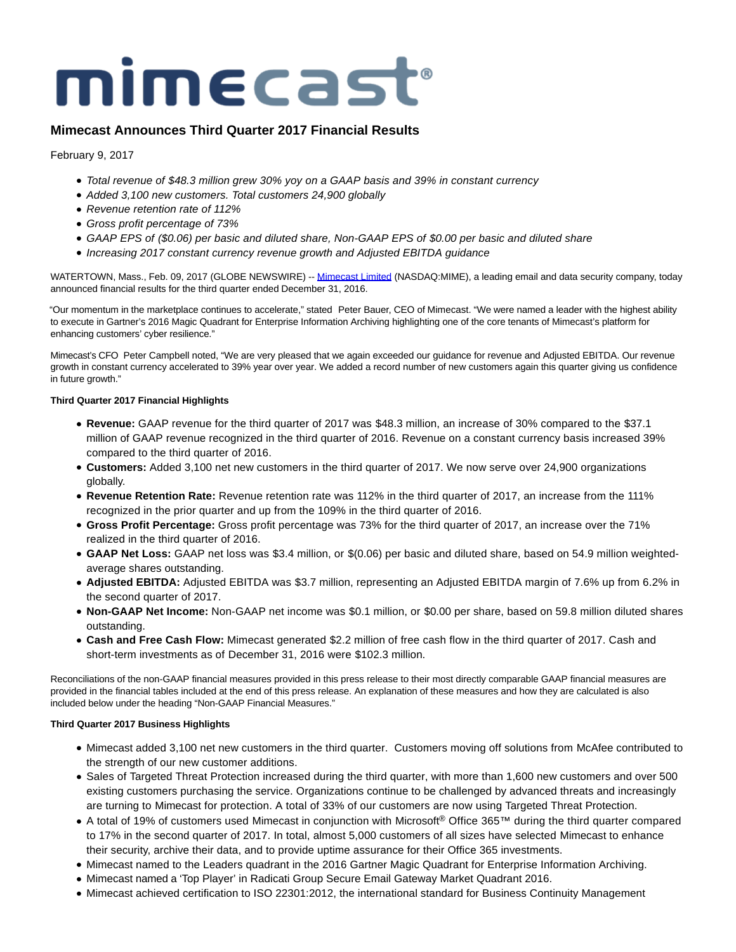# mimecast®

# **Mimecast Announces Third Quarter 2017 Financial Results**

February 9, 2017

- Total revenue of \$48.3 million grew 30% yoy on a GAAP basis and 39% in constant currency
- Added 3,100 new customers. Total customers 24,900 globally
- Revenue retention rate of 112%
- Gross profit percentage of 73%
- GAAP EPS of (\$0.06) per basic and diluted share, Non-GAAP EPS of \$0.00 per basic and diluted share
- Increasing 2017 constant currency revenue growth and Adjusted EBITDA guidance

WATERTOWN, Mass., Feb. 09, 2017 (GLOBE NEWSWIRE) -[- Mimecast Limited \(](https://www.globenewswire.com/Tracker?data=erqeO-HcPf7kwO2_kukzZq7S2gKXckJFAMZc-08wJHUto1ksdpxwTVGEOTh4P0NdRuH97oRow__QaudXUBTZdQ==)NASDAQ:MIME), a leading email and data security company, today announced financial results for the third quarter ended December 31, 2016.

"Our momentum in the marketplace continues to accelerate," stated Peter Bauer, CEO of Mimecast. "We were named a leader with the highest ability to execute in Gartner's 2016 Magic Quadrant for Enterprise Information Archiving highlighting one of the core tenants of Mimecast's platform for enhancing customers' cyber resilience."

Mimecast's CFO Peter Campbell noted, "We are very pleased that we again exceeded our guidance for revenue and Adjusted EBITDA. Our revenue growth in constant currency accelerated to 39% year over year. We added a record number of new customers again this quarter giving us confidence in future growth."

# **Third Quarter 2017 Financial Highlights**

- **Revenue:** GAAP revenue for the third quarter of 2017 was \$48.3 million, an increase of 30% compared to the \$37.1 million of GAAP revenue recognized in the third quarter of 2016. Revenue on a constant currency basis increased 39% compared to the third quarter of 2016.
- **Customers:** Added 3,100 net new customers in the third quarter of 2017. We now serve over 24,900 organizations globally.
- **Revenue Retention Rate:** Revenue retention rate was 112% in the third quarter of 2017, an increase from the 111% recognized in the prior quarter and up from the 109% in the third quarter of 2016.
- **Gross Profit Percentage:** Gross profit percentage was 73% for the third quarter of 2017, an increase over the 71% realized in the third quarter of 2016.
- **GAAP Net Loss:** GAAP net loss was \$3.4 million, or \$(0.06) per basic and diluted share, based on 54.9 million weightedaverage shares outstanding.
- **Adjusted EBITDA:** Adjusted EBITDA was \$3.7 million, representing an Adjusted EBITDA margin of 7.6% up from 6.2% in the second quarter of 2017.
- **Non-GAAP Net Income:** Non-GAAP net income was \$0.1 million, or \$0.00 per share, based on 59.8 million diluted shares outstanding.
- **Cash and Free Cash Flow:** Mimecast generated \$2.2 million of free cash flow in the third quarter of 2017. Cash and short-term investments as of December 31, 2016 were \$102.3 million.

Reconciliations of the non-GAAP financial measures provided in this press release to their most directly comparable GAAP financial measures are provided in the financial tables included at the end of this press release. An explanation of these measures and how they are calculated is also included below under the heading "Non-GAAP Financial Measures."

# **Third Quarter 2017 Business Highlights**

- Mimecast added 3,100 net new customers in the third quarter. Customers moving off solutions from McAfee contributed to the strength of our new customer additions.
- Sales of Targeted Threat Protection increased during the third quarter, with more than 1,600 new customers and over 500 existing customers purchasing the service. Organizations continue to be challenged by advanced threats and increasingly are turning to Mimecast for protection. A total of 33% of our customers are now using Targeted Threat Protection.
- A total of 19% of customers used Mimecast in conjunction with Microsoft® Office 365™ during the third quarter compared to 17% in the second quarter of 2017. In total, almost 5,000 customers of all sizes have selected Mimecast to enhance their security, archive their data, and to provide uptime assurance for their Office 365 investments.
- Mimecast named to the Leaders quadrant in the 2016 Gartner Magic Quadrant for Enterprise Information Archiving.
- Mimecast named a 'Top Player' in Radicati Group Secure Email Gateway Market Quadrant 2016.
- Mimecast achieved certification to ISO 22301:2012, the international standard for Business Continuity Management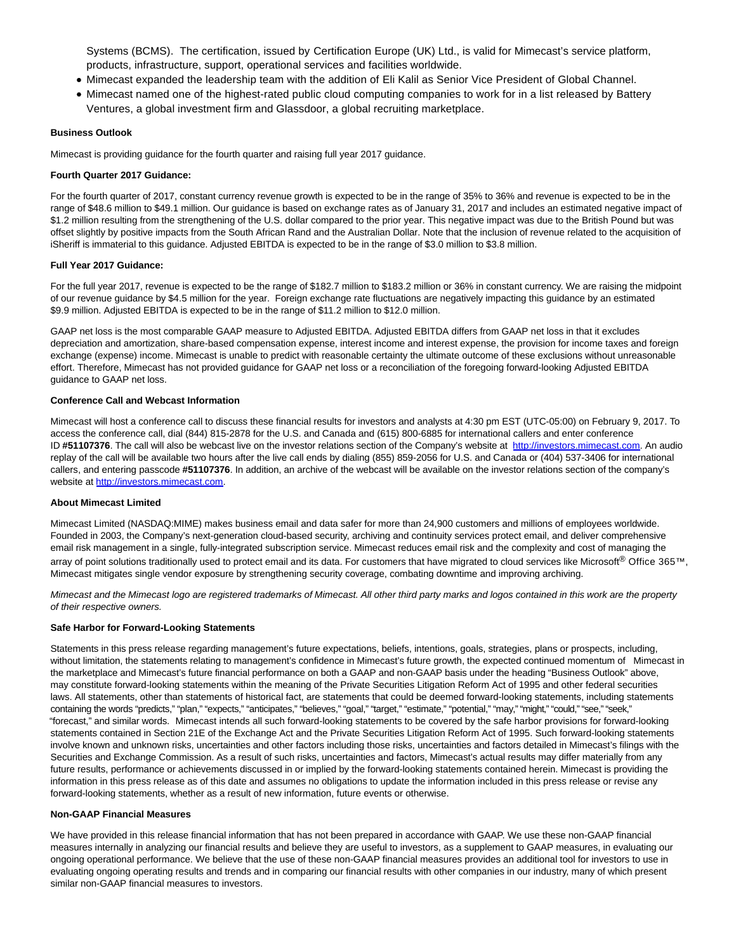Systems (BCMS). The certification, issued by Certification Europe (UK) Ltd., is valid for Mimecast's service platform, products, infrastructure, support, operational services and facilities worldwide.

- Mimecast expanded the leadership team with the addition of Eli Kalil as Senior Vice President of Global Channel.
- Mimecast named one of the highest-rated public cloud computing companies to work for in a list released by Battery Ventures, a global investment firm and Glassdoor, a global recruiting marketplace.

#### **Business Outlook**

Mimecast is providing guidance for the fourth quarter and raising full year 2017 guidance.

#### **Fourth Quarter 2017 Guidance:**

For the fourth quarter of 2017, constant currency revenue growth is expected to be in the range of 35% to 36% and revenue is expected to be in the range of \$48.6 million to \$49.1 million. Our guidance is based on exchange rates as of January 31, 2017 and includes an estimated negative impact of \$1.2 million resulting from the strengthening of the U.S. dollar compared to the prior year. This negative impact was due to the British Pound but was offset slightly by positive impacts from the South African Rand and the Australian Dollar. Note that the inclusion of revenue related to the acquisition of iSheriff is immaterial to this guidance. Adjusted EBITDA is expected to be in the range of \$3.0 million to \$3.8 million.

#### **Full Year 2017 Guidance:**

For the full year 2017, revenue is expected to be the range of \$182.7 million to \$183.2 million or 36% in constant currency. We are raising the midpoint of our revenue guidance by \$4.5 million for the year. Foreign exchange rate fluctuations are negatively impacting this guidance by an estimated \$9.9 million. Adjusted EBITDA is expected to be in the range of \$11.2 million to \$12.0 million.

GAAP net loss is the most comparable GAAP measure to Adjusted EBITDA. Adjusted EBITDA differs from GAAP net loss in that it excludes depreciation and amortization, share-based compensation expense, interest income and interest expense, the provision for income taxes and foreign exchange (expense) income. Mimecast is unable to predict with reasonable certainty the ultimate outcome of these exclusions without unreasonable effort. Therefore, Mimecast has not provided guidance for GAAP net loss or a reconciliation of the foregoing forward-looking Adjusted EBITDA guidance to GAAP net loss.

#### **Conference Call and Webcast Information**

Mimecast will host a conference call to discuss these financial results for investors and analysts at 4:30 pm EST (UTC-05:00) on February 9, 2017. To access the conference call, dial (844) 815-2878 for the U.S. and Canada and (615) 800-6885 for international callers and enter conference ID **#51107376**. The call will also be webcast live on the investor relations section of the Company's website at [http://investors.mimecast.com.](https://www.globenewswire.com/Tracker?data=4FVTw9pVVPl0qIcpoYhNz2X1DoBzL0T5pw0uFWbYIGejNw-3RCHMahoWYqKK06dGZRgH7TykH2u7HeDbCpNCkQZ-tfFhDs5cgB4DQ915AUPho74c39Lfwrl0CDpUVGWs) An audio replay of the call will be available two hours after the live call ends by dialing (855) 859-2056 for U.S. and Canada or (404) 537-3406 for international callers, and entering passcode **#51107376**. In addition, an archive of the webcast will be available on the investor relations section of the company's website at [http://investors.mimecast.com.](https://www.globenewswire.com/Tracker?data=4FVTw9pVVPl0qIcpoYhNz2X1DoBzL0T5pw0uFWbYIGelp_Z-iCzJYwFPgfjih4OOfjzQcBc7wDoaj0B0D_olLXdlbUl0lw-NBIZFAu3HHJvuI2PD6Id9am1LMBcgdD0M)

#### **About Mimecast Limited**

Mimecast Limited (NASDAQ:MIME) makes business email and data safer for more than 24,900 customers and millions of employees worldwide. Founded in 2003, the Company's next-generation cloud-based security, archiving and continuity services protect email, and deliver comprehensive email risk management in a single, fully-integrated subscription service. Mimecast reduces email risk and the complexity and cost of managing the array of point solutions traditionally used to protect email and its data. For customers that have migrated to cloud services like Microsoft® Office 365™, Mimecast mitigates single vendor exposure by strengthening security coverage, combating downtime and improving archiving.

Mimecast and the Mimecast logo are registered trademarks of Mimecast. All other third party marks and logos contained in this work are the property of their respective owners.

#### **Safe Harbor for Forward-Looking Statements**

Statements in this press release regarding management's future expectations, beliefs, intentions, goals, strategies, plans or prospects, including, without limitation, the statements relating to management's confidence in Mimecast's future growth, the expected continued momentum of Mimecast in the marketplace and Mimecast's future financial performance on both a GAAP and non-GAAP basis under the heading "Business Outlook" above, may constitute forward-looking statements within the meaning of the Private Securities Litigation Reform Act of 1995 and other federal securities laws. All statements, other than statements of historical fact, are statements that could be deemed forward-looking statements, including statements containing the words "predicts," "plan," "expects," "anticipates," "believes," "goal," "target," "estimate," "potential," "may," "might," "could," "see," "seek," "forecast," and similar words. Mimecast intends all such forward-looking statements to be covered by the safe harbor provisions for forward-looking statements contained in Section 21E of the Exchange Act and the Private Securities Litigation Reform Act of 1995. Such forward-looking statements involve known and unknown risks, uncertainties and other factors including those risks, uncertainties and factors detailed in Mimecast's filings with the Securities and Exchange Commission. As a result of such risks, uncertainties and factors, Mimecast's actual results may differ materially from any future results, performance or achievements discussed in or implied by the forward-looking statements contained herein. Mimecast is providing the information in this press release as of this date and assumes no obligations to update the information included in this press release or revise any forward-looking statements, whether as a result of new information, future events or otherwise.

#### **Non-GAAP Financial Measures**

We have provided in this release financial information that has not been prepared in accordance with GAAP. We use these non-GAAP financial measures internally in analyzing our financial results and believe they are useful to investors, as a supplement to GAAP measures, in evaluating our ongoing operational performance. We believe that the use of these non-GAAP financial measures provides an additional tool for investors to use in evaluating ongoing operating results and trends and in comparing our financial results with other companies in our industry, many of which present similar non-GAAP financial measures to investors.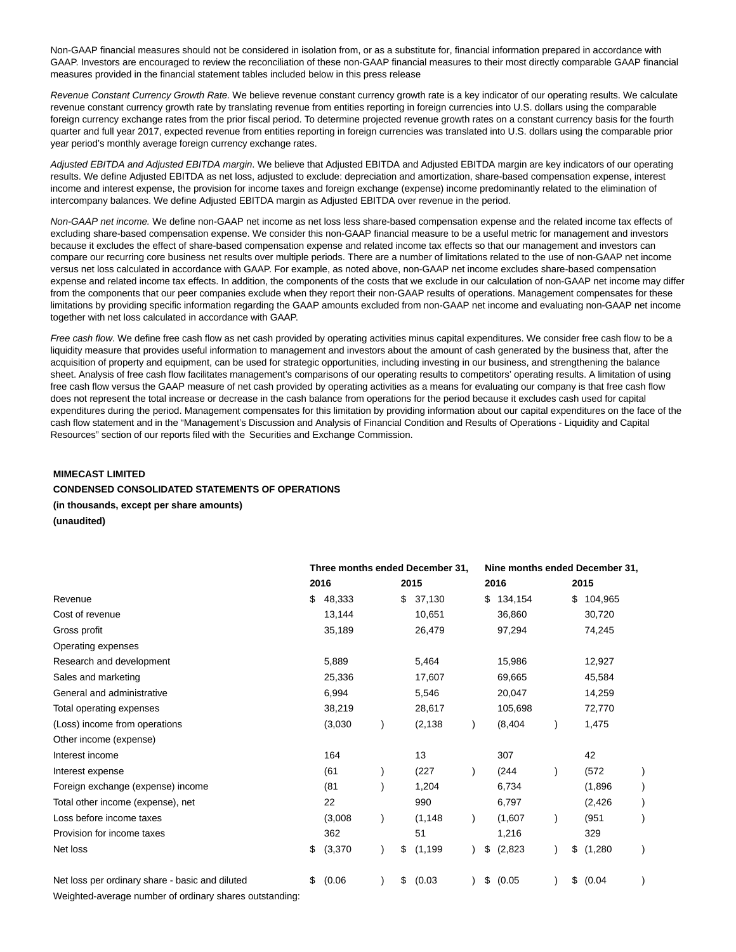Non-GAAP financial measures should not be considered in isolation from, or as a substitute for, financial information prepared in accordance with GAAP. Investors are encouraged to review the reconciliation of these non-GAAP financial measures to their most directly comparable GAAP financial measures provided in the financial statement tables included below in this press release

Revenue Constant Currency Growth Rate. We believe revenue constant currency growth rate is a key indicator of our operating results. We calculate revenue constant currency growth rate by translating revenue from entities reporting in foreign currencies into U.S. dollars using the comparable foreign currency exchange rates from the prior fiscal period. To determine projected revenue growth rates on a constant currency basis for the fourth quarter and full year 2017, expected revenue from entities reporting in foreign currencies was translated into U.S. dollars using the comparable prior year period's monthly average foreign currency exchange rates.

Adjusted EBITDA and Adjusted EBITDA margin. We believe that Adjusted EBITDA and Adjusted EBITDA margin are key indicators of our operating results. We define Adjusted EBITDA as net loss, adjusted to exclude: depreciation and amortization, share-based compensation expense, interest income and interest expense, the provision for income taxes and foreign exchange (expense) income predominantly related to the elimination of intercompany balances. We define Adjusted EBITDA margin as Adjusted EBITDA over revenue in the period.

Non-GAAP net income. We define non-GAAP net income as net loss less share-based compensation expense and the related income tax effects of excluding share-based compensation expense. We consider this non-GAAP financial measure to be a useful metric for management and investors because it excludes the effect of share-based compensation expense and related income tax effects so that our management and investors can compare our recurring core business net results over multiple periods. There are a number of limitations related to the use of non-GAAP net income versus net loss calculated in accordance with GAAP. For example, as noted above, non-GAAP net income excludes share-based compensation expense and related income tax effects. In addition, the components of the costs that we exclude in our calculation of non-GAAP net income may differ from the components that our peer companies exclude when they report their non-GAAP results of operations. Management compensates for these limitations by providing specific information regarding the GAAP amounts excluded from non-GAAP net income and evaluating non-GAAP net income together with net loss calculated in accordance with GAAP.

Free cash flow. We define free cash flow as net cash provided by operating activities minus capital expenditures. We consider free cash flow to be a liquidity measure that provides useful information to management and investors about the amount of cash generated by the business that, after the acquisition of property and equipment, can be used for strategic opportunities, including investing in our business, and strengthening the balance sheet. Analysis of free cash flow facilitates management's comparisons of our operating results to competitors' operating results. A limitation of using free cash flow versus the GAAP measure of net cash provided by operating activities as a means for evaluating our company is that free cash flow does not represent the total increase or decrease in the cash balance from operations for the period because it excludes cash used for capital expenditures during the period. Management compensates for this limitation by providing information about our capital expenditures on the face of the cash flow statement and in the "Management's Discussion and Analysis of Financial Condition and Results of Operations - Liquidity and Capital Resources" section of our reports filed with the Securities and Exchange Commission.

#### **MIMECAST LIMITED**

#### **CONDENSED CONSOLIDATED STATEMENTS OF OPERATIONS**

**(in thousands, except per share amounts)**

**(unaudited)**

|                                                         | Three months ended December 31, |         |  |    |          |  | Nine months ended December 31, |          |  |      |          |  |  |
|---------------------------------------------------------|---------------------------------|---------|--|----|----------|--|--------------------------------|----------|--|------|----------|--|--|
|                                                         |                                 | 2016    |  |    | 2015     |  |                                | 2016     |  | 2015 |          |  |  |
| Revenue                                                 | \$                              | 48,333  |  | \$ | 37,130   |  | \$                             | 134,154  |  | \$   | 104,965  |  |  |
| Cost of revenue                                         |                                 | 13,144  |  |    | 10,651   |  |                                | 36,860   |  |      | 30,720   |  |  |
| Gross profit                                            |                                 | 35,189  |  |    | 26,479   |  |                                | 97,294   |  |      | 74,245   |  |  |
| Operating expenses                                      |                                 |         |  |    |          |  |                                |          |  |      |          |  |  |
| Research and development                                |                                 | 5,889   |  |    | 5,464    |  |                                | 15,986   |  |      | 12,927   |  |  |
| Sales and marketing                                     |                                 | 25,336  |  |    | 17,607   |  |                                | 69,665   |  |      | 45,584   |  |  |
| General and administrative                              |                                 | 6,994   |  |    | 5,546    |  |                                | 20,047   |  |      | 14,259   |  |  |
| Total operating expenses                                |                                 | 38,219  |  |    | 28,617   |  |                                | 105,698  |  |      | 72,770   |  |  |
| (Loss) income from operations                           |                                 | (3,030) |  |    | (2, 138) |  |                                | (8, 404) |  |      | 1,475    |  |  |
| Other income (expense)                                  |                                 |         |  |    |          |  |                                |          |  |      |          |  |  |
| Interest income                                         |                                 | 164     |  |    | 13       |  |                                | 307      |  |      | 42       |  |  |
| Interest expense                                        |                                 | (61)    |  |    | (227)    |  |                                | (244)    |  |      | (572)    |  |  |
| Foreign exchange (expense) income                       |                                 | (81)    |  |    | 1,204    |  |                                | 6,734    |  |      | (1,896)  |  |  |
| Total other income (expense), net                       |                                 | 22      |  |    | 990      |  |                                | 6,797    |  |      | (2, 426) |  |  |
| Loss before income taxes                                |                                 | (3,008) |  |    | (1, 148) |  |                                | (1,607)  |  |      | (951)    |  |  |
| Provision for income taxes                              |                                 | 362     |  |    | 51       |  |                                | 1,216    |  |      | 329      |  |  |
| Net loss                                                | \$                              | (3,370) |  | \$ | (1, 199) |  | \$                             | (2,823)  |  | \$   | (1,280)  |  |  |
| Net loss per ordinary share - basic and diluted         | \$                              | (0.06)  |  | \$ | (0.03)   |  | \$                             | (0.05)   |  | \$   | (0.04)   |  |  |
| Weighted-average number of ordinary shares outstanding: |                                 |         |  |    |          |  |                                |          |  |      |          |  |  |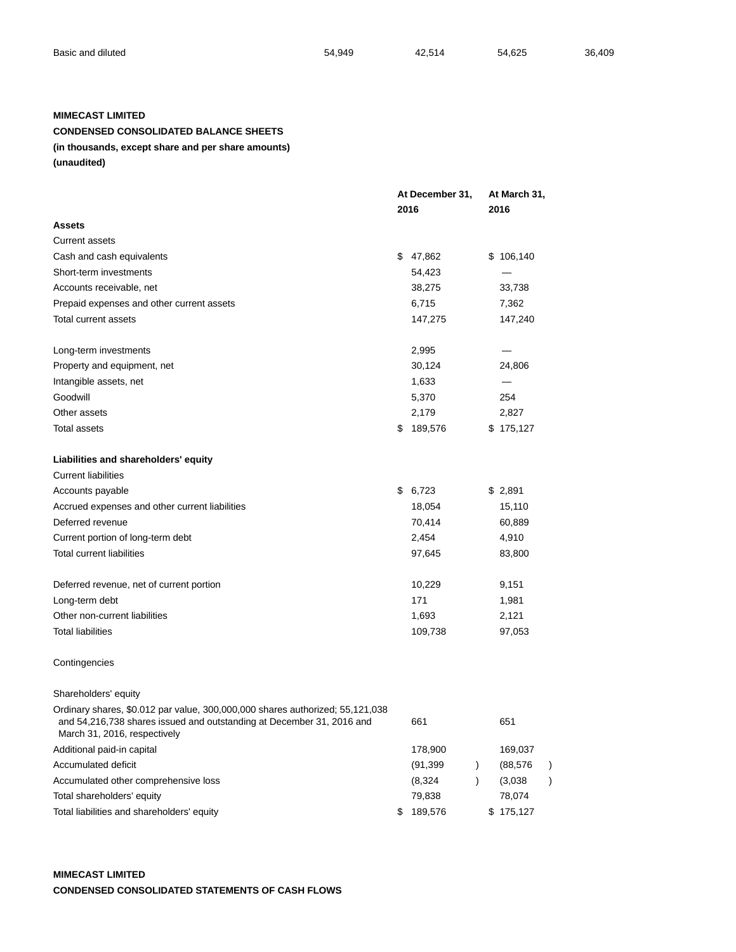# **MIMECAST LIMITED**

# **CONDENSED CONSOLIDATED BALANCE SHEETS (in thousands, except share and per share amounts) (unaudited)**

|                                                                                                                                                                                        | At December 31, |               | At March 31, |           |
|----------------------------------------------------------------------------------------------------------------------------------------------------------------------------------------|-----------------|---------------|--------------|-----------|
|                                                                                                                                                                                        | 2016            |               | 2016         |           |
| Assets                                                                                                                                                                                 |                 |               |              |           |
| Current assets                                                                                                                                                                         |                 |               |              |           |
| Cash and cash equivalents                                                                                                                                                              | \$<br>47,862    |               | \$106,140    |           |
| Short-term investments                                                                                                                                                                 | 54,423          |               |              |           |
| Accounts receivable, net                                                                                                                                                               | 38,275          |               | 33,738       |           |
| Prepaid expenses and other current assets                                                                                                                                              | 6,715           |               | 7,362        |           |
| Total current assets                                                                                                                                                                   | 147,275         |               | 147,240      |           |
| Long-term investments                                                                                                                                                                  | 2,995           |               |              |           |
| Property and equipment, net                                                                                                                                                            | 30,124          |               | 24,806       |           |
| Intangible assets, net                                                                                                                                                                 | 1,633           |               |              |           |
| Goodwill                                                                                                                                                                               | 5,370           |               | 254          |           |
| Other assets                                                                                                                                                                           | 2,179           |               | 2,827        |           |
| <b>Total assets</b>                                                                                                                                                                    | \$<br>189,576   |               | \$175,127    |           |
| Liabilities and shareholders' equity                                                                                                                                                   |                 |               |              |           |
| <b>Current liabilities</b>                                                                                                                                                             |                 |               |              |           |
| Accounts payable                                                                                                                                                                       | \$6,723         |               | \$2,891      |           |
| Accrued expenses and other current liabilities                                                                                                                                         | 18,054          |               | 15,110       |           |
| Deferred revenue                                                                                                                                                                       | 70,414          |               | 60,889       |           |
| Current portion of long-term debt                                                                                                                                                      | 2,454           |               | 4,910        |           |
| <b>Total current liabilities</b>                                                                                                                                                       | 97,645          |               | 83,800       |           |
| Deferred revenue, net of current portion                                                                                                                                               | 10,229          |               | 9,151        |           |
| Long-term debt                                                                                                                                                                         | 171             |               | 1,981        |           |
| Other non-current liabilities                                                                                                                                                          | 1,693           |               | 2,121        |           |
| Total liabilities                                                                                                                                                                      | 109,738         |               | 97,053       |           |
| Contingencies                                                                                                                                                                          |                 |               |              |           |
| Shareholders' equity                                                                                                                                                                   |                 |               |              |           |
| Ordinary shares, \$0.012 par value, 300,000,000 shares authorized; 55,121,038<br>and 54,216,738 shares issued and outstanding at December 31, 2016 and<br>March 31, 2016, respectively | 661             |               | 651          |           |
| Additional paid-in capital                                                                                                                                                             | 178,900         |               | 169,037      |           |
| Accumulated deficit                                                                                                                                                                    | (91, 399)       | $\mathcal{E}$ | (88, 576)    |           |
| Accumulated other comprehensive loss                                                                                                                                                   | (8, 324)        | $\lambda$     | (3,038)      | $\lambda$ |
| Total shareholders' equity                                                                                                                                                             | 79,838          |               | 78,074       |           |
| Total liabilities and shareholders' equity                                                                                                                                             | \$<br>189,576   |               | \$175,127    |           |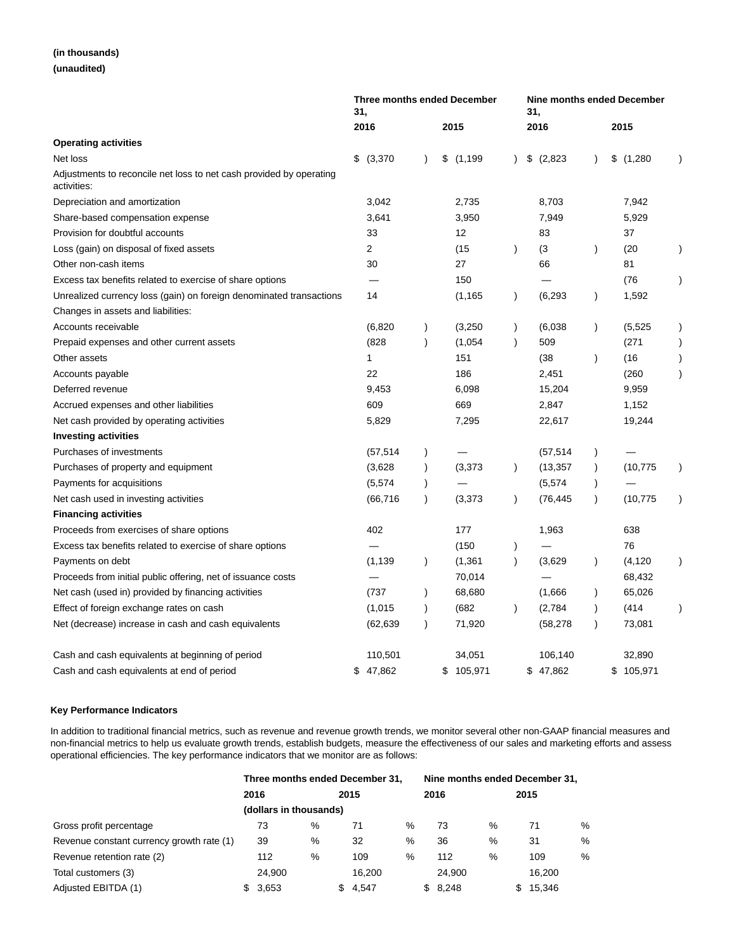# **(in thousands)**

**(unaudited)**

|                                                                                    | <b>Three months ended December</b><br>31, |                |               |    |          |               |    |           | Nine months ended December<br>31. |    |           |               |
|------------------------------------------------------------------------------------|-------------------------------------------|----------------|---------------|----|----------|---------------|----|-----------|-----------------------------------|----|-----------|---------------|
|                                                                                    |                                           | 2016           |               |    | 2015     |               |    | 2016      |                                   |    | 2015      |               |
| <b>Operating activities</b>                                                        |                                           |                |               |    |          |               |    |           |                                   |    |           |               |
| Net loss                                                                           | \$                                        | (3, 370)       |               | \$ | (1, 199) |               | \$ | (2,823)   |                                   | \$ | (1,280)   |               |
| Adjustments to reconcile net loss to net cash provided by operating<br>activities: |                                           |                |               |    |          |               |    |           |                                   |    |           |               |
| Depreciation and amortization                                                      |                                           | 3,042          |               |    | 2,735    |               |    | 8,703     |                                   |    | 7,942     |               |
| Share-based compensation expense                                                   |                                           | 3,641          |               |    | 3,950    |               |    | 7,949     |                                   |    | 5,929     |               |
| Provision for doubtful accounts                                                    |                                           | 33             |               |    | 12       |               |    | 83        |                                   |    | 37        |               |
| Loss (gain) on disposal of fixed assets                                            |                                           | $\overline{2}$ |               |    | (15)     | $\mathcal{E}$ |    | (3)       | $\lambda$                         |    | (20)      | $\mathcal{E}$ |
| Other non-cash items                                                               |                                           | 30             |               |    | 27       |               |    | 66        |                                   |    | 81        |               |
| Excess tax benefits related to exercise of share options                           |                                           |                |               |    | 150      |               |    |           |                                   |    | (76)      | $\lambda$     |
| Unrealized currency loss (gain) on foreign denominated transactions                |                                           | 14             |               |    | (1, 165) | $\lambda$     |    | (6, 293)  | $\lambda$                         |    | 1,592     |               |
| Changes in assets and liabilities:                                                 |                                           |                |               |    |          |               |    |           |                                   |    |           |               |
| Accounts receivable                                                                |                                           | (6, 820)       | $\lambda$     |    | (3,250)  | $\lambda$     |    | (6,038)   | $\lambda$                         |    | (5, 525)  | $\lambda$     |
| Prepaid expenses and other current assets                                          |                                           | (828)          | $\lambda$     |    | (1,054)  | $\lambda$     |    | 509       |                                   |    | (271)     | $\lambda$     |
| Other assets                                                                       |                                           | 1              |               |    | 151      |               |    | (38)      | $\lambda$                         |    | (16)      |               |
| Accounts payable                                                                   |                                           | 22             |               |    | 186      |               |    | 2,451     |                                   |    | (260)     | $\lambda$     |
| Deferred revenue                                                                   |                                           | 9,453          |               |    | 6,098    |               |    | 15,204    |                                   |    | 9,959     |               |
| Accrued expenses and other liabilities                                             |                                           | 609            |               |    | 669      |               |    | 2,847     |                                   |    | 1,152     |               |
| Net cash provided by operating activities                                          |                                           | 5,829          |               |    | 7,295    |               |    | 22,617    |                                   |    | 19,244    |               |
| <b>Investing activities</b>                                                        |                                           |                |               |    |          |               |    |           |                                   |    |           |               |
| Purchases of investments                                                           |                                           | (57, 514)      | $\mathcal{E}$ |    |          |               |    | (57, 514) | $\lambda$                         |    |           |               |
| Purchases of property and equipment                                                |                                           | (3,628)        | $\lambda$     |    | (3, 373) | $\lambda$     |    | (13, 357) | $\lambda$                         |    | (10, 775) | $\lambda$     |
| Payments for acquisitions                                                          |                                           | (5,574)        | $\lambda$     |    |          |               |    | (5,574)   | $\lambda$                         |    |           |               |
| Net cash used in investing activities                                              |                                           | (66, 716)      | $\lambda$     |    | (3, 373) | $\lambda$     |    | (76, 445) | $\lambda$                         |    | (10, 775) | $\lambda$     |
| <b>Financing activities</b>                                                        |                                           |                |               |    |          |               |    |           |                                   |    |           |               |
| Proceeds from exercises of share options                                           |                                           | 402            |               |    | 177      |               |    | 1,963     |                                   |    | 638       |               |
| Excess tax benefits related to exercise of share options                           |                                           |                |               |    | (150)    | $\lambda$     |    |           |                                   |    | 76        |               |
| Payments on debt                                                                   |                                           | (1, 139)       | $\lambda$     |    | (1, 361) | $\lambda$     |    | (3,629)   | $\lambda$                         |    | (4, 120)  | $\lambda$     |
| Proceeds from initial public offering, net of issuance costs                       |                                           |                |               |    | 70,014   |               |    |           |                                   |    | 68,432    |               |
| Net cash (used in) provided by financing activities                                |                                           | (737)          | $\lambda$     |    | 68,680   |               |    | (1,666)   | $\lambda$                         |    | 65,026    |               |
| Effect of foreign exchange rates on cash                                           |                                           | (1,015)        | $\lambda$     |    | (682)    | $\lambda$     |    | (2,784)   | $\lambda$                         |    | (414)     | $\lambda$     |
| Net (decrease) increase in cash and cash equivalents                               |                                           | (62, 639)      | $\lambda$     |    | 71,920   |               |    | (58, 278) | $\lambda$                         |    | 73,081    |               |
| Cash and cash equivalents at beginning of period                                   |                                           | 110,501        |               |    | 34,051   |               |    | 106,140   |                                   |    | 32,890    |               |
| Cash and cash equivalents at end of period                                         | \$                                        | 47,862         |               | \$ | 105,971  |               |    | \$47,862  |                                   |    | \$105,971 |               |

# **Key Performance Indicators**

In addition to traditional financial metrics, such as revenue and revenue growth trends, we monitor several other non-GAAP financial measures and non-financial metrics to help us evaluate growth trends, establish budgets, measure the effectiveness of our sales and marketing efforts and assess operational efficiencies. The key performance indicators that we monitor are as follows:

|                                           | Three months ended December 31, |        |  |   |  |        |   |      | Nine months ended December 31, |  |   |        |      |  |  |
|-------------------------------------------|---------------------------------|--------|--|---|--|--------|---|------|--------------------------------|--|---|--------|------|--|--|
|                                           | 2016                            |        |  |   |  | 2015   |   | 2016 |                                |  |   | 2015   |      |  |  |
|                                           | (dollars in thousands)          |        |  |   |  |        |   |      |                                |  |   |        |      |  |  |
| Gross profit percentage                   |                                 | 73     |  | % |  | 71     | % |      | 73                             |  | % | 71     | $\%$ |  |  |
| Revenue constant currency growth rate (1) |                                 | 39     |  | % |  | 32     | % |      | 36                             |  | % | 31     | $\%$ |  |  |
| Revenue retention rate (2)                |                                 | 112    |  | % |  | 109    | % |      | 112                            |  | % | 109    | $\%$ |  |  |
| Total customers (3)                       |                                 | 24,900 |  |   |  | 16,200 |   |      | 24.900                         |  |   | 16.200 |      |  |  |
| Adjusted EBITDA (1)                       |                                 | 3,653  |  |   |  | 4.547  |   |      | \$8,248                        |  |   | 15,346 |      |  |  |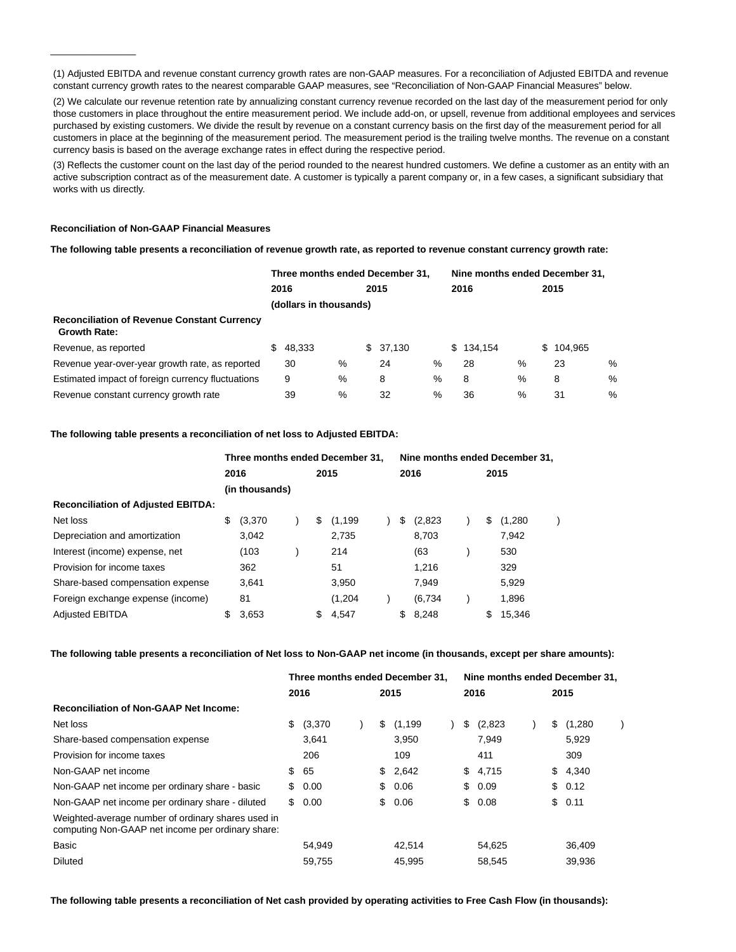(1) Adjusted EBITDA and revenue constant currency growth rates are non-GAAP measures. For a reconciliation of Adjusted EBITDA and revenue constant currency growth rates to the nearest comparable GAAP measures, see "Reconciliation of Non-GAAP Financial Measures" below.

(2) We calculate our revenue retention rate by annualizing constant currency revenue recorded on the last day of the measurement period for only those customers in place throughout the entire measurement period. We include add-on, or upsell, revenue from additional employees and services purchased by existing customers. We divide the result by revenue on a constant currency basis on the first day of the measurement period for all customers in place at the beginning of the measurement period. The measurement period is the trailing twelve months. The revenue on a constant currency basis is based on the average exchange rates in effect during the respective period.

(3) Reflects the customer count on the last day of the period rounded to the nearest hundred customers. We define a customer as an entity with an active subscription contract as of the measurement date. A customer is typically a parent company or, in a few cases, a significant subsidiary that works with us directly.

#### **Reconciliation of Non-GAAP Financial Measures**

 $\_$ 

**The following table presents a reconciliation of revenue growth rate, as reported to revenue constant currency growth rate:**

|                                                                           | Three months ended December 31, |        |      |  |          |   | Nine months ended December 31, |   |                |               |  |  |  |
|---------------------------------------------------------------------------|---------------------------------|--------|------|--|----------|---|--------------------------------|---|----------------|---------------|--|--|--|
|                                                                           |                                 | 2016   |      |  | 2015     |   | 2016                           |   | 2015           |               |  |  |  |
|                                                                           | (dollars in thousands)          |        |      |  |          |   |                                |   |                |               |  |  |  |
| <b>Reconciliation of Revenue Constant Currency</b><br><b>Growth Rate:</b> |                                 |        |      |  |          |   |                                |   |                |               |  |  |  |
| Revenue, as reported                                                      | \$.                             | 48.333 |      |  | \$37.130 |   | 134.154<br>\$                  |   | 104,965<br>\$. |               |  |  |  |
| Revenue year-over-year growth rate, as reported                           |                                 | 30     | %    |  | 24       | % | 28                             | % | 23             | $\frac{0}{0}$ |  |  |  |
| Estimated impact of foreign currency fluctuations                         |                                 | 9      | %    |  | 8        | % | 8                              | % | 8              | $\frac{0}{0}$ |  |  |  |
| Revenue constant currency growth rate                                     |                                 | 39     | $\%$ |  | 32       | % | 36                             | % | 31             | $\frac{0}{0}$ |  |  |  |

#### **The following table presents a reconciliation of net loss to Adjusted EBITDA:**

|                                           |                | Three months ended December 31, |  |    |          |  |     | Nine months ended December 31, |  |      |         |  |  |  |  |
|-------------------------------------------|----------------|---------------------------------|--|----|----------|--|-----|--------------------------------|--|------|---------|--|--|--|--|
|                                           |                | 2016                            |  |    | 2015     |  |     | 2016                           |  | 2015 |         |  |  |  |  |
|                                           | (in thousands) |                                 |  |    |          |  |     |                                |  |      |         |  |  |  |  |
| <b>Reconciliation of Adjusted EBITDA:</b> |                |                                 |  |    |          |  |     |                                |  |      |         |  |  |  |  |
| Net loss                                  | \$             | (3,370)                         |  | S. | (1, 199) |  | \$  | (2,823)                        |  | \$   | (1,280) |  |  |  |  |
| Depreciation and amortization             |                | 3.042                           |  |    | 2.735    |  |     | 8.703                          |  |      | 7,942   |  |  |  |  |
| Interest (income) expense, net            |                | (103)                           |  |    | 214      |  |     | (63)                           |  |      | 530     |  |  |  |  |
| Provision for income taxes                |                | 362                             |  |    | 51       |  |     | 1.216                          |  |      | 329     |  |  |  |  |
| Share-based compensation expense          |                | 3.641                           |  |    | 3,950    |  |     | 7.949                          |  |      | 5,929   |  |  |  |  |
| Foreign exchange expense (income)         |                | 81                              |  |    | (1,204)  |  |     | (6,734)                        |  |      | 1,896   |  |  |  |  |
| <b>Adjusted EBITDA</b>                    | S              | 3,653                           |  | S. | 4.547    |  | \$. | 8.248                          |  | S    | 15.346  |  |  |  |  |

**The following table presents a reconciliation of Net loss to Non-GAAP net income (in thousands, except per share amounts):**

|                                                                                                         | Three months ended December 31, |         |  |     |          |  |      | Nine months ended December 31. |  |    |        |  |  |  |
|---------------------------------------------------------------------------------------------------------|---------------------------------|---------|--|-----|----------|--|------|--------------------------------|--|----|--------|--|--|--|
|                                                                                                         | 2016                            |         |  |     | 2015     |  | 2016 |                                |  |    | 2015   |  |  |  |
| <b>Reconciliation of Non-GAAP Net Income:</b>                                                           |                                 |         |  |     |          |  |      |                                |  |    |        |  |  |  |
| Net loss                                                                                                | \$                              | (3,370) |  | \$  | (1, 199) |  | \$   | (2,823)                        |  | \$ | (1,280 |  |  |  |
| Share-based compensation expense                                                                        |                                 | 3,641   |  |     | 3,950    |  |      | 7,949                          |  |    | 5,929  |  |  |  |
| Provision for income taxes                                                                              |                                 | 206     |  |     | 109      |  |      | 411                            |  |    | 309    |  |  |  |
| Non-GAAP net income                                                                                     | \$                              | 65      |  | \$  | 2,642    |  |      | \$4,715                        |  | \$ | 4,340  |  |  |  |
| Non-GAAP net income per ordinary share - basic                                                          | SS.                             | 0.00    |  | \$. | 0.06     |  | \$   | 0.09                           |  | \$ | 0.12   |  |  |  |
| Non-GAAP net income per ordinary share - diluted                                                        | SS.                             | 0.00    |  | \$. | 0.06     |  |      | \$0.08                         |  | \$ | 0.11   |  |  |  |
| Weighted-average number of ordinary shares used in<br>computing Non-GAAP net income per ordinary share: |                                 |         |  |     |          |  |      |                                |  |    |        |  |  |  |
| Basic                                                                                                   |                                 | 54.949  |  |     | 42.514   |  |      | 54.625                         |  |    | 36,409 |  |  |  |
| <b>Diluted</b>                                                                                          |                                 | 59.755  |  |     | 45.995   |  |      | 58.545                         |  |    | 39,936 |  |  |  |